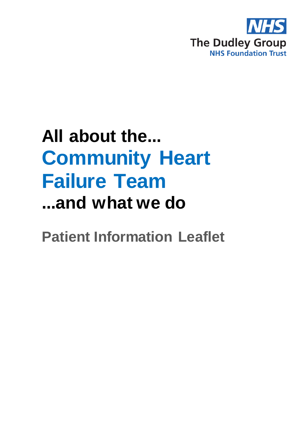

# **All about the... Community Heart Failure Team ...and what we do**

**Patient Information Leaflet**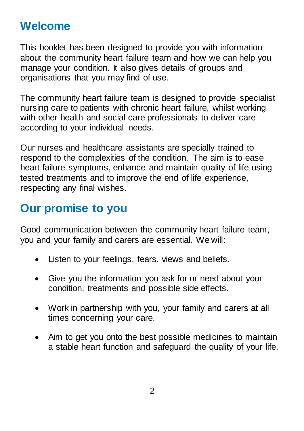# **Welcome**

This booklet has been designed to provide you with information about the community heart failure team and how we can help you manage your condition. It also gives details of groups and organisations that you may find of use.

The community heart failure team is designed to provide specialist nursing care to patients with chronic heart failure, whilst working with other health and social care professionals to deliver care according to your individual needs.

Our nurses and healthcare assistants are specially trained to respond to the complexities of the condition. The aim is to ease heart failure symptoms, enhance and maintain quality of life using tested treatments and to improve the end of life experience, respecting any final wishes.

# **Our promise to you**

Good communication between the community heart failure team, you and your family and carers are essential. We will:

- Listen to your feelings, fears, views and beliefs.
- Give you the information you ask for or need about your condition, treatments and possible side effects.
- Work in partnership with you, your family and carers at all times concerning your care.
- Aim to get you onto the best possible medicines to maintain a stable heart function and safeguard the quality of your life.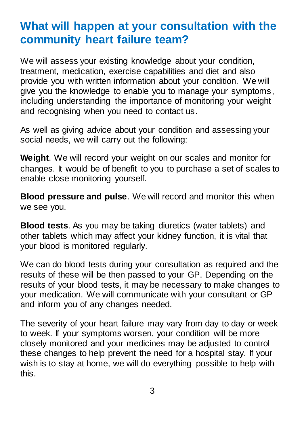# **What will happen at your consultation with the community heart failure team?**

We will assess your existing knowledge about your condition, treatment, medication, exercise capabilities and diet and also provide you with written information about your condition. We will give you the knowledge to enable you to manage your symptoms, including understanding the importance of monitoring your weight and recognising when you need to contact us.

As well as giving advice about your condition and assessing your social needs, we will carry out the following:

**Weight**. We will record your weight on our scales and monitor for changes. It would be of benefit to you to purchase a set of scales to enable close monitoring yourself.

**Blood pressure and pulse**. We will record and monitor this when we see you.

**Blood tests**. As you may be taking diuretics (water tablets) and other tablets which may affect your kidney function, it is vital that your blood is monitored regularly.

We can do blood tests during your consultation as required and the results of these will be then passed to your GP. Depending on the results of your blood tests, it may be necessary to make changes to your medication. We will communicate with your consultant or GP and inform you of any changes needed.

The severity of your heart failure may vary from day to day or week to week. If your symptoms worsen, your condition will be more closely monitored and your medicines may be adjusted to control these changes to help prevent the need for a hospital stay. If your wish is to stay at home, we will do everything possible to help with this.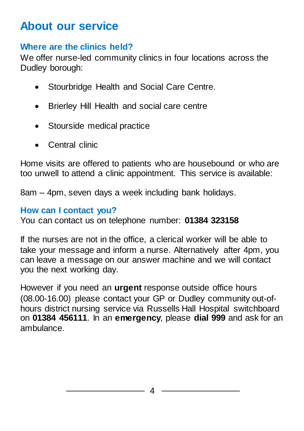## **About our service**

### **Where are the clinics held?**

We offer nurse-led community clinics in four locations across the Dudley borough:

- Stourbridge Health and Social Care Centre.
- Brierley Hill Health and social care centre
- Stourside medical practice
- Central clinic

Home visits are offered to patients who are housebound or who are too unwell to attend a clinic appointment. This service is available:

8am – 4pm, seven days a week including bank holidays.

#### **How can I contact you?**

You can contact us on telephone number: **01384 323158**

If the nurses are not in the office, a clerical worker will be able to take your message and inform a nurse. Alternatively after 4pm, you can leave a message on our answer machine and we will contact you the next working day.

However if you need an **urgent** response outside office hours (08.00-16.00) please contact your GP or Dudley community out-ofhours district nursing service via Russells Hall Hospital switchboard on **01384 456111**. In an **emergency**, please **dial 999** and ask for an ambulance.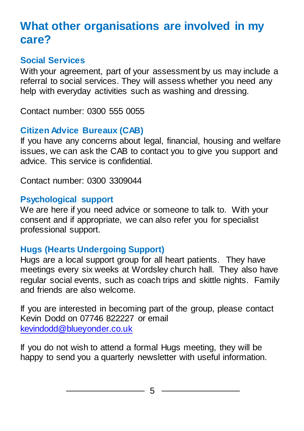# **What other organisations are involved in my care?**

## **Social Services**

With your agreement, part of your assessment by us may include a referral to social services. They will assess whether you need any help with everyday activities such as washing and dressing.

Contact number: 0300 555 0055

## **Citizen Advice Bureaux (CAB)**

If you have any concerns about legal, financial, housing and welfare issues, we can ask the CAB to contact you to give you support and advice. This service is confidential.

Contact number: 0300 3309044

## **Psychological support**

We are here if you need advice or someone to talk to. With your consent and if appropriate, we can also refer you for specialist professional support.

## **Hugs (Hearts Undergoing Support)**

Hugs are a local support group for all heart patients. They have meetings every six weeks at Wordsley church hall. They also have regular social events, such as coach trips and skittle nights. Family and friends are also welcome.

If you are interested in becoming part of the group, please contact Kevin Dodd on 07746 822227 or email [kevindodd@blueyonder.co.uk](mailto:kevindodd@blueyonder.co.uk)

If you do not wish to attend a formal Hugs meeting, they will be happy to send you a quarterly newsletter with useful information.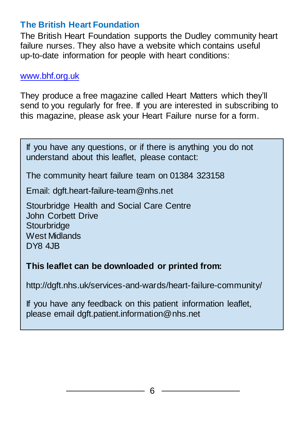### **The British Heart Foundation**

The British Heart Foundation supports the Dudley community heart failure nurses. They also have a website which contains useful up-to-date information for people with heart conditions:

#### [www.bhf.org.uk](http://www.bhf.org.uk/)

They produce a free magazine called Heart Matters which they'll send to you regularly for free. If you are interested in subscribing to this magazine, please ask your Heart Failure nurse for a form.

If you have any questions, or if there is anything you do not understand about this leaflet, please contact:

The community heart failure team on 01384 323158

Email: dgft.heart-failure-team@nhs.net

Stourbridge Health and Social Care Centre John Corbett Drive **Stourbridge** West Midlands DY8 4JB

#### **This leaflet can be downloaded or printed from:**

http://dgft.nhs.uk/services-and-wards/heart-failure-community/

If you have any feedback on this patient information leaflet, please email dgft.patient.information@nhs.net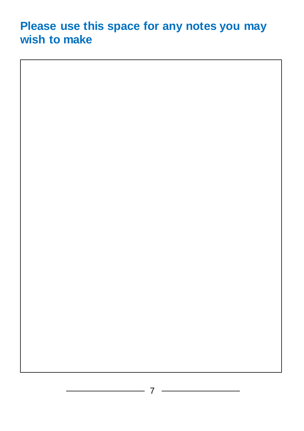## **Please use this space for any notes you may wish to make**



<u> 1980 - Johann Barn, mars ann an t-</u>